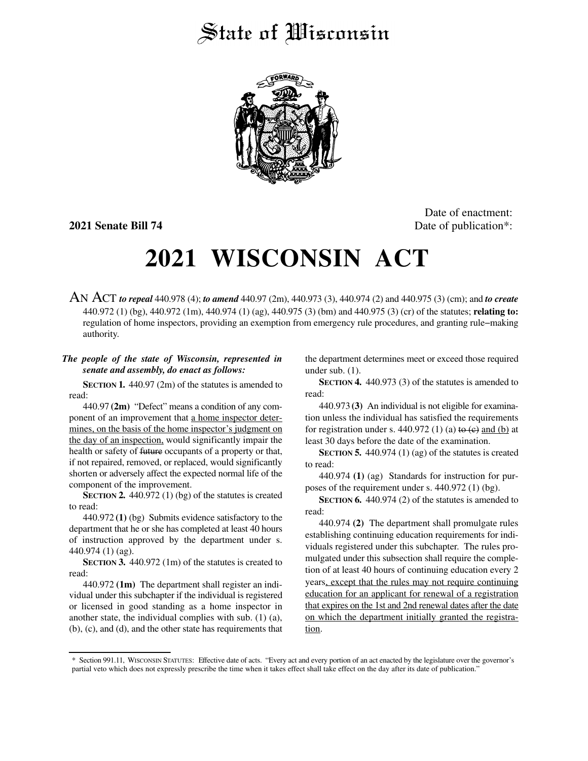## State of Wisconsin



Date of enactment: **2021 Senate Bill 74** Date of publication<sup>\*</sup>:

# **2021 WISCONSIN ACT**

AN ACT *to repeal* 440.978 (4); *to amend* 440.97 (2m), 440.973 (3), 440.974 (2) and 440.975 (3) (cm); and *to create* 440.972 (1) (bg), 440.972 (1m), 440.974 (1) (ag), 440.975 (3) (bm) and 440.975 (3) (cr) of the statutes; **relating to:** regulation of home inspectors, providing an exemption from emergency rule procedures, and granting rule−making authority.

### *The people of the state of Wisconsin, represented in senate and assembly, do enact as follows:*

**SECTION 1.** 440.97 (2m) of the statutes is amended to read:

440.97 **(2m)** "Defect" means a condition of any component of an improvement that a home inspector determines, on the basis of the home inspector's judgment on the day of an inspection, would significantly impair the health or safety of future occupants of a property or that, if not repaired, removed, or replaced, would significantly shorten or adversely affect the expected normal life of the component of the improvement.

**SECTION 2.** 440.972 (1) (bg) of the statutes is created to read:

440.972 **(1)** (bg) Submits evidence satisfactory to the department that he or she has completed at least 40 hours of instruction approved by the department under s. 440.974 (1) (ag).

**SECTION 3.** 440.972 (1m) of the statutes is created to read:

440.972 **(1m)** The department shall register an individual under this subchapter if the individual is registered or licensed in good standing as a home inspector in another state, the individual complies with sub. (1) (a), (b), (c), and (d), and the other state has requirements that the department determines meet or exceed those required under sub. (1).

**SECTION 4.** 440.973 (3) of the statutes is amended to read:

440.973 **(3)** An individual is not eligible for examination unless the individual has satisfied the requirements for registration under s. 440.972 (1) (a) to  $(e)$  and (b) at least 30 days before the date of the examination.

**SECTION 5.** 440.974 (1) (ag) of the statutes is created to read:

440.974 **(1)** (ag) Standards for instruction for purposes of the requirement under s. 440.972 (1) (bg).

**SECTION 6.** 440.974 (2) of the statutes is amended to read:

440.974 **(2)** The department shall promulgate rules establishing continuing education requirements for individuals registered under this subchapter. The rules promulgated under this subsection shall require the completion of at least 40 hours of continuing education every 2 years, except that the rules may not require continuing education for an applicant for renewal of a registration that expires on the 1st and 2nd renewal dates after the date on which the department initially granted the registration.

<sup>\*</sup> Section 991.11, WISCONSIN STATUTES: Effective date of acts. "Every act and every portion of an act enacted by the legislature over the governor's partial veto which does not expressly prescribe the time when it takes effect shall take effect on the day after its date of publication."